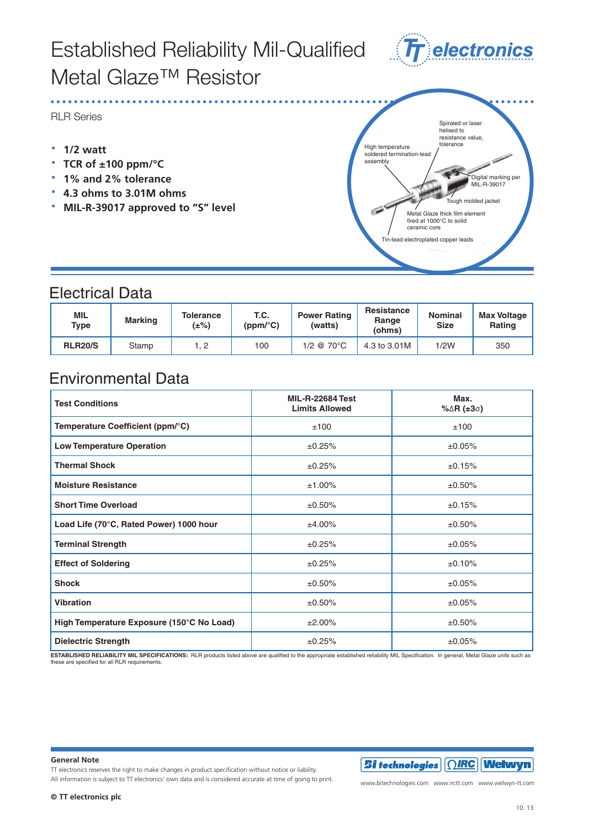# Established Reliability Established Reliability Mil-Qualified Metal Glaze<sup>™</sup> Resistor



METAL GLAZER<br>RLR Series RLR Series **Extending Reliability** Reliability of the Reliability of the Reliability of the Reliability of the Reliability of the Reliability of the Reliability of the Reliability of the Reliability of the Reliability of the Reliabil

**• 1/2** watt

Electrical Data

- **· TCR of ±100 ppm/°C**
- **PERSIST TO 12 WATER TO 12 WATER TO 12 WATER CONVERTING TO 12 WATER TO 2% tolerance**
- TCR of ±100 ppm/°C **· 4.3 ohms to 3.01M ohms**

• MIL-R-39017 approved to "S" level

 $\cdot$  MIL-R-39017 approved to "S" level



#### Electrical Data

| MIL<br><b>Type</b> | <b>Marking</b> | <b>Tolerance</b><br>(±%) | T.C.<br>(ppm/°C) | <b>Power Rating</b><br>(watts) | Resistance<br>Range<br>(ohms) | <b>Nominal</b><br><b>Size</b> | <b>Max Voltage</b><br>Rating |
|--------------------|----------------|--------------------------|------------------|--------------------------------|-------------------------------|-------------------------------|------------------------------|
| <b>RLR20/S</b>     | Stamp          |                          | 100              | $1/2$ @ 70 $^{\circ}$ C        | 4.3 to 3.01M                  | 1/2W                          | 350                          |

## Environmental Data Environmental Data

| <b>Test Conditions</b>                    | <b>MIL-R-22684 Test</b><br><b>Limits Allowed</b> | Max.<br>% $\Delta$ R (±3 $\sigma$ ) |
|-------------------------------------------|--------------------------------------------------|-------------------------------------|
| Temperature Coefficient (ppm/°C)          | ±100                                             | ±100                                |
| <b>Low Temperature Operation</b>          | ±0.25%                                           | ±0.05%                              |
| <b>Thermal Shock</b>                      | ±0.25%                                           | ±0.15%                              |
| <b>Moisture Resistance</b>                | ±1.00%                                           | ±0.50%                              |
| <b>Short Time Overload</b>                | ±0.50%                                           | ±0.15%                              |
| Load Life (70°C, Rated Power) 1000 hour   | ±4.00%                                           | ±0.50%                              |
| <b>Terminal Strength</b>                  | ±0.25%                                           | ±0.05%                              |
| <b>Effect of Soldering</b>                | ±0.25%                                           | ±0.10%                              |
| <b>Shock</b>                              | ±0.50%                                           | ±0.05%                              |
| <b>Vibration</b>                          | ±0.50%                                           | ±0.05%                              |
| High Temperature Exposure (150°C No Load) | ±2.00%                                           | ±0.50%                              |
| <b>Dielectric Strength</b>                | ±0.25%                                           | ±0.05%                              |

ESTABLISHED RELIABILITY MIL SPECIFICATIONS: RLR products listed above are qualified to the appropriate established reliability MIL Specification. In general, Metal Glaze units such as<br>these are specified for all RLR requir

#### **ESTABLISHED RELIABILITY MIL SPECIFICATIONS:** RLR products listed above are qualified to the appropriate established reliability MIL Specification. In general, Metal Glaze units such as **General Note IRC reserves the right to make changes the right to make changes in product specification without no General Note**

TT electronics reserves the right to make changes in product specification without notice or liability.<br>TT electronics reserves the right to make changes in product specification without notice or liability. All information is subject to TT electronics' own data and is considered accurate at time of going to print.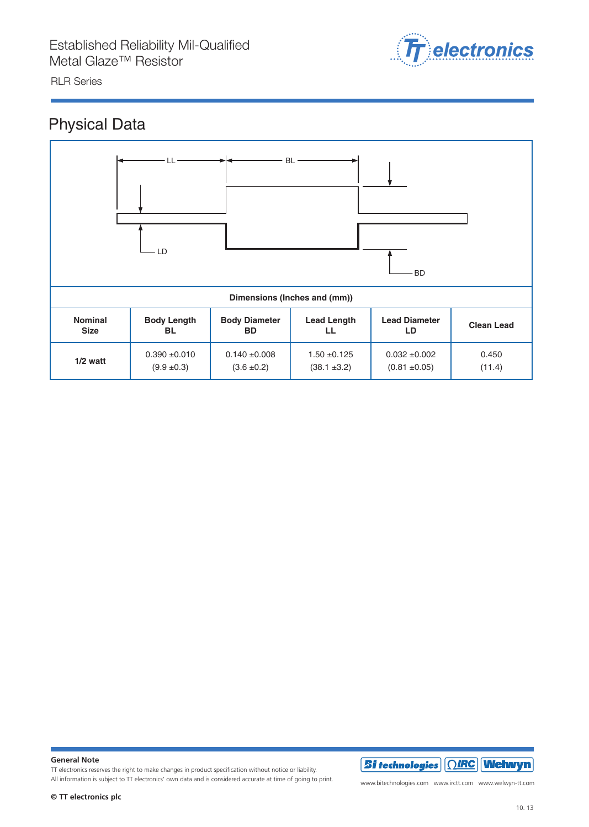Metal Glaze™ Resistor



#### Physical Data



**General Note**

TT electronics reserves the right to make changes in product specification without notice or liability. All information is subject to TT electronics' own data and is considered accurate at time of going to print.



www.bitechnologies.com www.irctt.com www.welwyn-tt.com